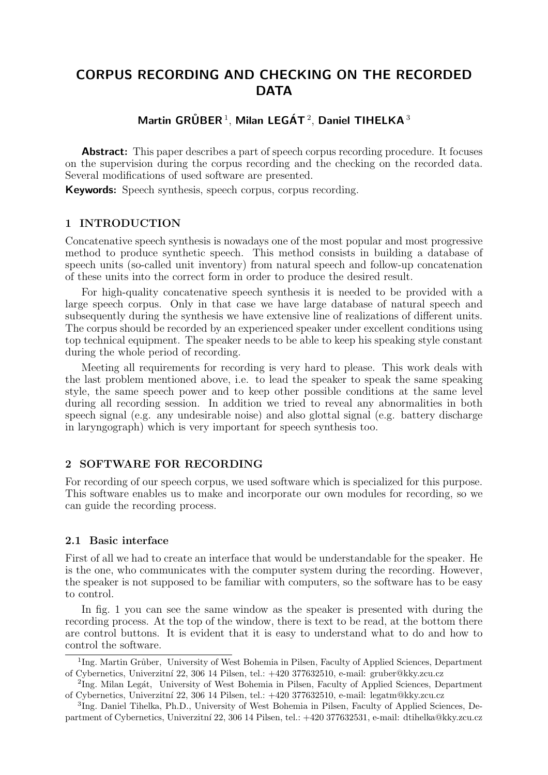# CORPUS RECORDING AND CHECKING ON THE RECORDED **DATA**

## Martin GRÜBER<sup>1</sup>, Milan LEGÁT<sup>2</sup>, Daniel TIHELKA<sup>3</sup>

Abstract: This paper describes a part of speech corpus recording procedure. It focuses on the supervision during the corpus recording and the checking on the recorded data. Several modifications of used software are presented.

Keywords: Speech synthesis, speech corpus, corpus recording.

#### 1 INTRODUCTION

Concatenative speech synthesis is nowadays one of the most popular and most progressive method to produce synthetic speech. This method consists in building a database of speech units (so-called unit inventory) from natural speech and follow-up concatenation of these units into the correct form in order to produce the desired result.

For high-quality concatenative speech synthesis it is needed to be provided with a large speech corpus. Only in that case we have large database of natural speech and subsequently during the synthesis we have extensive line of realizations of different units. The corpus should be recorded by an experienced speaker under excellent conditions using top technical equipment. The speaker needs to be able to keep his speaking style constant during the whole period of recording.

Meeting all requirements for recording is very hard to please. This work deals with the last problem mentioned above, i.e. to lead the speaker to speak the same speaking style, the same speech power and to keep other possible conditions at the same level during all recording session. In addition we tried to reveal any abnormalities in both speech signal (e.g. any undesirable noise) and also glottal signal (e.g. battery discharge in laryngograph) which is very important for speech synthesis too.

#### 2 SOFTWARE FOR RECORDING

For recording of our speech corpus, we used software which is specialized for this purpose. This software enables us to make and incorporate our own modules for recording, so we can guide the recording process.

#### 2.1 Basic interface

First of all we had to create an interface that would be understandable for the speaker. He is the one, who communicates with the computer system during the recording. However, the speaker is not supposed to be familiar with computers, so the software has to be easy to control.

In fig. 1 you can see the same window as the speaker is presented with during the recording process. At the top of the window, there is text to be read, at the bottom there are control buttons. It is evident that it is easy to understand what to do and how to control the software.

<sup>&</sup>lt;sup>1</sup>Ing. Martin Grůber, University of West Bohemia in Pilsen, Faculty of Applied Sciences, Department of Cybernetics, Univerzitn´ı 22, 306 14 Pilsen, tel.: +420 377632510, e-mail: gruber@kky.zcu.cz

 ${}^{2}$ Ing. Milan Legát, University of West Bohemia in Pilsen, Faculty of Applied Sciences, Department of Cybernetics, Univerzitn´ı 22, 306 14 Pilsen, tel.: +420 377632510, e-mail: legatm@kky.zcu.cz

<sup>&</sup>lt;sup>3</sup>Ing. Daniel Tihelka, Ph.D., University of West Bohemia in Pilsen, Faculty of Applied Sciences, Department of Cybernetics, Univerzitn´ı 22, 306 14 Pilsen, tel.: +420 377632531, e-mail: dtihelka@kky.zcu.cz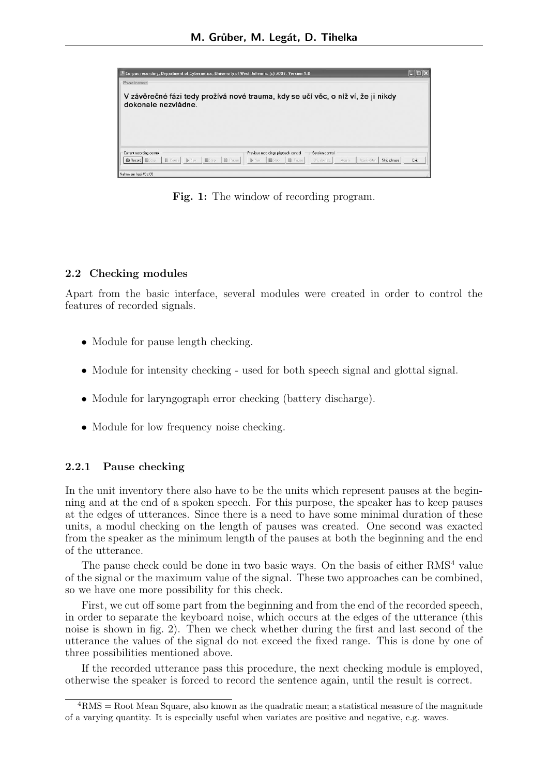

Fig. 1: The window of recording program.

#### 2.2 Checking modules

Apart from the basic interface, several modules were created in order to control the features of recorded signals.

- Module for pause length checking.
- Module for intensity checking used for both speech signal and glottal signal.
- Module for laryngograph error checking (battery discharge).
- Module for low frequency noise checking.

#### 2.2.1 Pause checking

In the unit inventory there also have to be the units which represent pauses at the beginning and at the end of a spoken speech. For this purpose, the speaker has to keep pauses at the edges of utterances. Since there is a need to have some minimal duration of these units, a modul checking on the length of pauses was created. One second was exacted from the speaker as the minimum length of the pauses at both the beginning and the end of the utterance.

The pause check could be done in two basic ways. On the basis of either  $RMS<sup>4</sup>$  value of the signal or the maximum value of the signal. These two approaches can be combined, so we have one more possibility for this check.

First, we cut off some part from the beginning and from the end of the recorded speech, in order to separate the keyboard noise, which occurs at the edges of the utterance (this noise is shown in fig. 2). Then we check whether during the first and last second of the utterance the values of the signal do not exceed the fixed range. This is done by one of three possibilities mentioned above.

If the recorded utterance pass this procedure, the next checking module is employed, otherwise the speaker is forced to record the sentence again, until the result is correct.

 ${}^{4}RMS =$ Root Mean Square, also known as the quadratic mean; a statistical measure of the magnitude of a varying quantity. It is especially useful when variates are positive and negative, e.g. waves.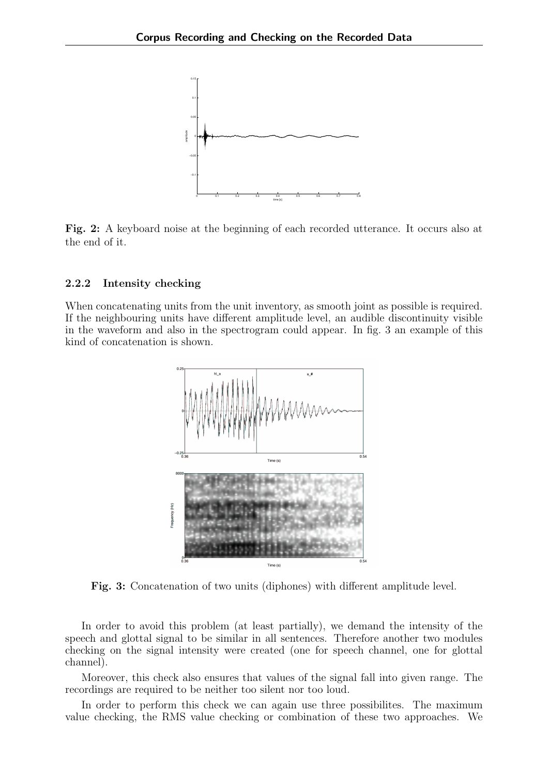

Fig. 2: A keyboard noise at the beginning of each recorded utterance. It occurs also at the end of it.

#### 2.2.2 Intensity checking

When concatenating units from the unit inventory, as smooth joint as possible is required. If the neighbouring units have different amplitude level, an audible discontinuity visible in the waveform and also in the spectrogram could appear. In fig. 3 an example of this kind of concatenation is shown.



Fig. 3: Concatenation of two units (diphones) with different amplitude level.

In order to avoid this problem (at least partially), we demand the intensity of the speech and glottal signal to be similar in all sentences. Therefore another two modules checking on the signal intensity were created (one for speech channel, one for glottal channel).

Moreover, this check also ensures that values of the signal fall into given range. The recordings are required to be neither too silent nor too loud.

In order to perform this check we can again use three possibilites. The maximum value checking, the RMS value checking or combination of these two approaches. We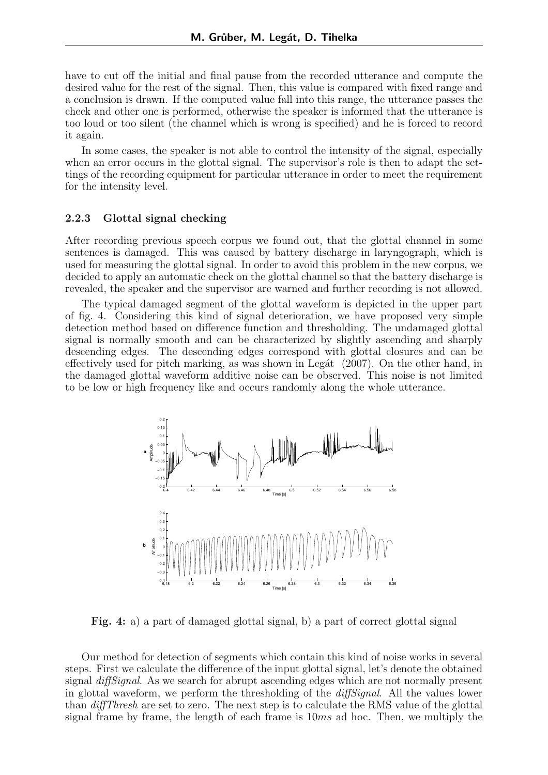have to cut off the initial and final pause from the recorded utterance and compute the desired value for the rest of the signal. Then, this value is compared with fixed range and a conclusion is drawn. If the computed value fall into this range, the utterance passes the check and other one is performed, otherwise the speaker is informed that the utterance is too loud or too silent (the channel which is wrong is specified) and he is forced to record it again.

In some cases, the speaker is not able to control the intensity of the signal, especially when an error occurs in the glottal signal. The supervisor's role is then to adapt the settings of the recording equipment for particular utterance in order to meet the requirement for the intensity level.

#### 2.2.3 Glottal signal checking

After recording previous speech corpus we found out, that the glottal channel in some sentences is damaged. This was caused by battery discharge in laryngograph, which is used for measuring the glottal signal. In order to avoid this problem in the new corpus, we decided to apply an automatic check on the glottal channel so that the battery discharge is revealed, the speaker and the supervisor are warned and further recording is not allowed.

The typical damaged segment of the glottal waveform is depicted in the upper part of fig. 4. Considering this kind of signal deterioration, we have proposed very simple detection method based on difference function and thresholding. The undamaged glottal signal is normally smooth and can be characterized by slightly ascending and sharply descending edges. The descending edges correspond with glottal closures and can be effectively used for pitch marking, as was shown in Legát  $(2007)$ . On the other hand, in the damaged glottal waveform additive noise can be observed. This noise is not limited to be low or high frequency like and occurs randomly along the whole utterance.



Fig. 4: a) a part of damaged glottal signal, b) a part of correct glottal signal

Our method for detection of segments which contain this kind of noise works in several steps. First we calculate the difference of the input glottal signal, let's denote the obtained signal *diffSignal*. As we search for abrupt ascending edges which are not normally present in glottal waveform, we perform the thresholding of the *diffSignal*. All the values lower than diffThresh are set to zero. The next step is to calculate the RMS value of the glottal signal frame by frame, the length of each frame is  $10ms$  ad hoc. Then, we multiply the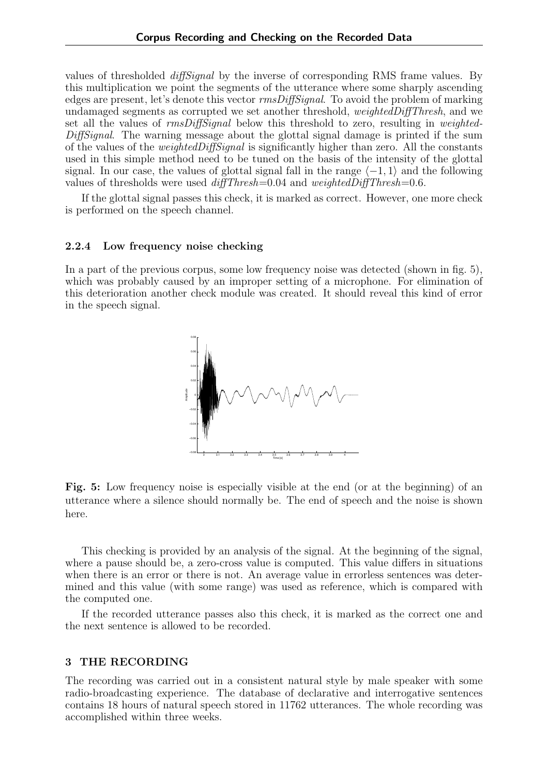values of thresholded diffSignal by the inverse of corresponding RMS frame values. By this multiplication we point the segments of the utterance where some sharply ascending edges are present, let's denote this vector rmsDiffSignal. To avoid the problem of marking undamaged segments as corrupted we set another threshold, weightedDiffThresh, and we set all the values of  $rmsDiffSignal$  below this threshold to zero, resulting in weighted-DiffSignal. The warning message about the glottal signal damage is printed if the sum of the values of the weightedDiffSignal is significantly higher than zero. All the constants used in this simple method need to be tuned on the basis of the intensity of the glottal signal. In our case, the values of glottal signal fall in the range  $\langle -1, 1 \rangle$  and the following values of thresholds were used  $diffThresh = 0.04$  and  $weightedDiffThresh = 0.6$ .

If the glottal signal passes this check, it is marked as correct. However, one more check is performed on the speech channel.

#### 2.2.4 Low frequency noise checking

In a part of the previous corpus, some low frequency noise was detected (shown in fig. 5), which was probably caused by an improper setting of a microphone. For elimination of this deterioration another check module was created. It should reveal this kind of error in the speech signal.



Fig. 5: Low frequency noise is especially visible at the end (or at the beginning) of an utterance where a silence should normally be. The end of speech and the noise is shown here.

This checking is provided by an analysis of the signal. At the beginning of the signal, where a pause should be, a zero-cross value is computed. This value differs in situations when there is an error or there is not. An average value in errorless sentences was determined and this value (with some range) was used as reference, which is compared with the computed one.

If the recorded utterance passes also this check, it is marked as the correct one and the next sentence is allowed to be recorded.

#### 3 THE RECORDING

The recording was carried out in a consistent natural style by male speaker with some radio-broadcasting experience. The database of declarative and interrogative sentences contains 18 hours of natural speech stored in 11762 utterances. The whole recording was accomplished within three weeks.